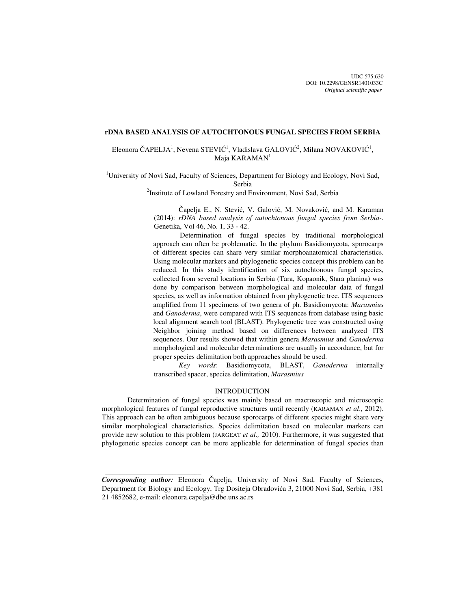UDC 575:630 DOI: 10.2298/GENSR1401033C *Original scientific paper*

## **rDNA BASED ANALYSIS OF AUTOCHTONOUS FUNGAL SPECIES FROM SERBIA**

Eleonora ČAPELJA<sup>1</sup>, Nevena STEVIĆ<sup>1</sup>, Vladislava GALOVIĆ<sup>2</sup>, Milana NOVAKOVIĆ<sup>1</sup>, Maja KARAMAN<sup>1</sup>

<sup>1</sup>University of Novi Sad, Faculty of Sciences, Department for Biology and Ecology, Novi Sad, Serbia

<sup>2</sup>Institute of Lowland Forestry and Environment, Novi Sad, Serbia

Čapelja E., N. Stević, V. Galović, M. Novaković, and M. Karaman (2014): *rDNA based analysis of autochtonous fungal species from Serbia-.*  Genetika, Vol 46, No. 1, 33 - 42.

 Determination of fungal species by traditional morphological approach can often be problematic. In the phylum Basidiomycota, sporocarps of different species can share very similar morphoanatomical characteristics. Using molecular markers and phylogenetic species concept this problem can be reduced. In this study identification of six autochtonous fungal species, collected from several locations in Serbia (Tara, Kopaonik, Stara planina) was done by comparison between morphological and molecular data of fungal species, as well as information obtained from phylogenetic tree. ITS sequences amplified from 11 specimens of two genera of ph. Basidiomycota: *Marasmius* and *Ganoderma*, were compared with ITS sequences from database using basic local alignment search tool (BLAST). Phylogenetic tree was constructed using Neighbor joining method based on differences between analyzed ITS sequences. Our results showed that within genera *Marasmius* and *Ganoderma* morphological and molecular determinations are usually in accordance, but for proper species delimitation both approaches should be used.

*Key words*: Basidiomycota, BLAST, *Ganoderma* internally transcribed spacer, species delimitation, *Marasmius* 

#### INTRODUCTION

Determination of fungal species was mainly based on macroscopic and microscopic morphological features of fungal reproductive structures until recently (KARAMAN *et al*., 2012). This approach can be often ambiguous because sporocarps of different species might share very similar morphological characteristics. Species delimitation based on molecular markers can provide new solution to this problem (JARGEAT *et al.,* 2010). Furthermore, it was suggested that phylogenetic species concept can be more applicable for determination of fungal species than

 $\frac{1}{2}$  , and the set of the set of the set of the set of the set of the set of the set of the set of the set of the set of the set of the set of the set of the set of the set of the set of the set of the set of the set

*Corresponding author:* Eleonora Čapelja, University of Novi Sad, Faculty of Sciences, Department for Biology and Ecology, Trg Dositeja Obradovića 3, 21000 Novi Sad, Serbia, +381 21 4852682, e-mail: eleonora.capelja@dbe.uns.ac.rs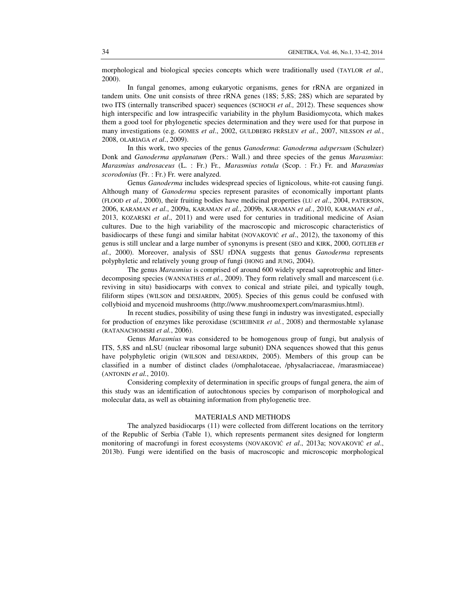morphological and biological species concepts which were traditionally used (TAYLOR *et al.,* 2000).

In fungal genomes, among eukaryotic organisms, genes for rRNA are organized in tandem units. One unit consists of three rRNA genes (18S; 5,8S; 28S) which are separated by two ITS (internally transcribed spacer) sequences (SCHOCH *et al.,* 2012). These sequences show high interspecific and low intraspecific variability in the phylum Basidiomycota, which makes them a good tool for phylogenetic species determination and they were used for that purpose in many investigations (e.g. GOMES *et al*., 2002, GULDBERG FRŘSLEV *et al*., 2007, NILSSON *et al.*, 2008, OLARIAGA *et al*., 2009).

In this work, two species of the genus *Ganoderma*: *Ganoderma adspersum* (Schulzer) Donk and *Ganoderma applanatum* (Pers.: Wall.) and three species of the genus *Marasmius*: *Marasmius androsaceus* (L. : Fr.) Fr*., Marasmius rotula* (Scop. : Fr.) Fr*.* and *Marasmius scorodonius* (Fr. : Fr.) Fr*.* were analyzed.

Genus *Ganoderma* includes widespread species of lignicolous, white-rot causing fungi. Although many of *Ganoderma* species represent parasites of economically important plants (FLOOD *et al*., 2000), their fruiting bodies have medicinal properties (LU *et al*., 2004, PATERSON, 2006, KARAMAN *et al*., 2009a, KARAMAN *et al.*, 2009b, KARAMAN *et al.*, 2010, KARAMAN *et al.*, 2013, KOZARSKI *et al*., 2011) and were used for centuries in traditional medicine of Asian cultures. Due to the high variability of the macroscopic and microscopic characteristics of basidiocarps of these fungi and similar habitat (NOVAKOVIĆ *et al*., 2012), the taxonomy of this genus is still unclear and a large number of synonyms is present (SEO and KIRK, 2000, GOTLIEB *et al.*, 2000). Moreover, analysis of SSU rDNA suggests that genus *Ganoderma* represents polyphyletic and relatively young group of fungi (HONG and JUNG, 2004).

The genus *Marasmius* is comprised of around 600 widely spread saprotrophic and litterdecomposing species (WANNATHES *et al.*, 2009). They form relatively small and marcescent (i.e. reviving in situ) basidiocarps with convex to conical and striate pilei, and typically tough, filiform stipes (WILSON and DESJARDIN, 2005). Species of this genus could be confused with collybioid and mycenoid mushrooms (http://www.mushroomexpert.com/marasmius.html).

In recent studies, possibility of using these fungi in industry was investigated, especially for production of enzymes like peroxidase (SCHEIBNER *et al.*, 2008) and thermostable xylanase (RATANACHOMSRI *et al.*, 2006).

Genus *Marasmius* was considered to be homogenous group of fungi, but analysis of ITS, 5,8S and nLSU (nuclear ribosomal large subunit) DNA sequences showed that this genus have polyphyletic origin (WILSON and DESJARDIN, 2005). Members of this group can be classified in a number of distinct clades (/omphalotaceae, /physalacriaceae, /marasmiaceae) (ANTONIN *et al.*, 2010).

 Considering complexity of determination in specific groups of fungal genera, the aim of this study was an identification of autochtonous species by comparison of morphological and molecular data, as well as obtaining information from phylogenetic tree.

## MATERIALS AND METHODS

The analyzed basidiocarps (11) were collected from different locations on the territory of the Republic of Serbia (Table 1), which represents permanent sites designed for longterm monitoring of macrofungi in forest ecosystems (NOVAKOVIĆ *et al*., 2013a; NOVAKOVIĆ *et al*., 2013b). Fungi were identified on the basis of macroscopic and microscopic morphological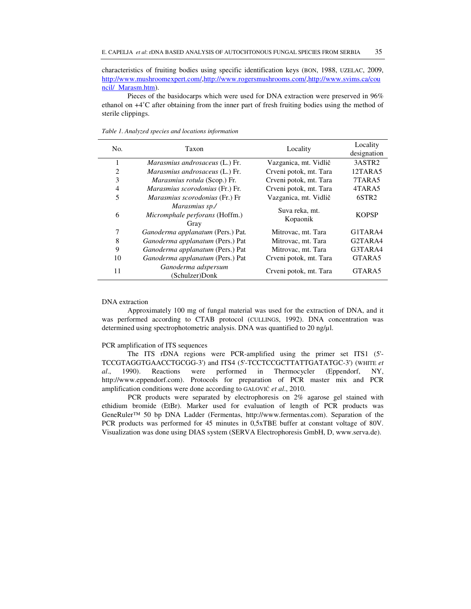characteristics of fruiting bodies using specific identification keys (BON, 1988, UZELAC, 2009, http://www.mushroomexpert.com/,http://www.rogersmushrooms.com/,http://www.svims.ca/cou ncil/ Marasm.htm).

Pieces of the basidocarps which were used for DNA extraction were preserved in 96% ethanol on +4˚C after obtaining from the inner part of fresh fruiting bodies using the method of sterile clippings.

| No.            | Taxon                                                    | Locality                   |                                  |
|----------------|----------------------------------------------------------|----------------------------|----------------------------------|
| 1              | <i>Marasmius androsaceus</i> (L.) Fr.                    | Vazganica, mt. Vidlič      | 3ASTR <sub>2</sub>               |
| $\overline{c}$ | <i>Marasmius androsaceus</i> (L.) Fr.                    | Crveni potok, mt. Tara     | 12TARA5                          |
| 3              | <i>Marasmius rotula</i> (Scop.) Fr.                      | Crveni potok, mt. Tara     | 7TARA5                           |
| $\overline{4}$ | Marasmius scorodonius (Fr.) Fr.                          | Crveni potok, mt. Tara     | 4TARA5                           |
| 5              | Marasmius scorodonius (Fr.) Fr                           | Vazganica, mt. Vidlič      | 6STR <sub>2</sub>                |
| 6              | Marasmius sp./<br>Micromphale perforans (Hoffm.)<br>Gray | Suva reka, mt.<br>Kopaonik | <b>KOPSP</b>                     |
| 7              | Ganoderma applanatum (Pers.) Pat.                        | Mitrovac, mt. Tara         | G1TARA4                          |
| 8              | Ganoderma applanatum (Pers.) Pat                         | Mitrovac, mt. Tara         | G <sub>2</sub> TAR <sub>A4</sub> |
| 9              | Ganoderma applanatum (Pers.) Pat                         | Mitrovac, mt. Tara         | G3TARA4                          |
| 10             | Ganoderma applanatum (Pers.) Pat                         | Crveni potok, mt. Tara     | GTARA5                           |
| 11             | Ganoderma adspersum<br>(Schulzer)Donk                    | Crveni potok, mt. Tara     | GTARA5                           |

*Table 1. Analyzed species and locations information* 

#### DNA extraction

Approximately 100 mg of fungal material was used for the extraction of DNA, and it was performed according to CTAB protocol (CULLINGS, 1992). DNA concentration was determined using spectrophotometric analysis. DNA was quantified to 20 ng/µl.

#### PCR amplification of ITS sequences

The ITS rDNA regions were PCR-amplified using the primer set ITS1 (5'- TCCGTAGGTGAACCTGCGG-3') and ITS4 (5'-TCCTCCGCTTATTGATATGC-3') (WHITE *et al*., 1990). Reactions were performed in Thermocycler (Eppendorf, NY, http://www.eppendorf.com). Protocols for preparation of PCR master mix and PCR amplification conditions were done according to GALOVIĆ *et al*., 2010.

PCR products were separated by electrophoresis on 2% agarose gel stained with ethidium bromide (EtBr). Marker used for evaluation of length of PCR products was GeneRuler™ 50 bp DNA Ladder (Fermentas, http://www.fermentas.com). Separation of the PCR products was performed for 45 minutes in 0,5xTBE buffer at constant voltage of 80V. Visualization was done using DIAS system (SERVA Electrophoresis GmbH, D, www.serva.de).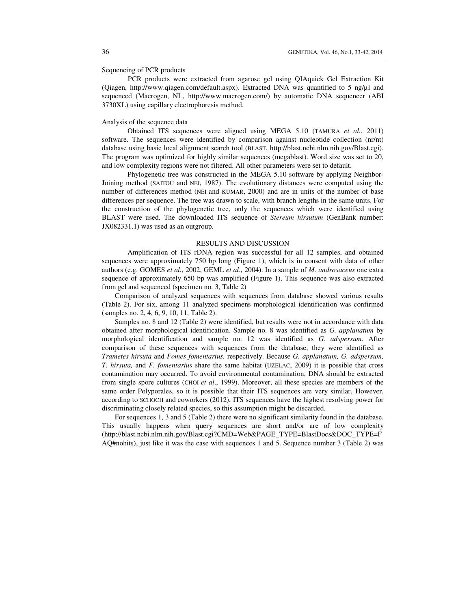Sequencing of PCR products

 PCR products were extracted from agarose gel using QIAquick Gel Extraction Kit (Qiagen, http://www.qiagen.com/default.aspx). Extracted DNA was quantified to 5 ng/µl and sequenced (Macrogen, NL, http://www.macrogen.com/) by automatic DNA sequencer (ABI 3730XL) using capillary electrophoresis method.

## Analysis of the sequence data

Obtained ITS sequences were aligned using MEGA 5.10 (TAMURA *et al.*, 2011) software. The sequences were identified by comparison against nucleotide collection (nr/nt) database using basic local alignment search tool (BLAST, http://blast.ncbi.nlm.nih.gov/Blast.cgi). The program was optimized for highly similar sequences (megablast). Word size was set to 20, and low complexity regions were not filtered. All other parameters were set to default.

Phylogenetic tree was constructed in the MEGA 5.10 software by applying Neighbor-Joining method (SAITOU and NEI, 1987). The evolutionary distances were computed using the number of differences method (NEI and KUMAR, 2000) and are in units of the number of base differences per sequence. The tree was drawn to scale, with branch lengths in the same units. For the construction of the phylogenetic tree, only the sequences which were identified using BLAST were used. The downloaded ITS sequence of *Stereum hirsutum* (GenBank number: JX082331.1) was used as an outgroup.

## RESULTS AND DISCUSSION

Amplification of ITS rDNA region was successful for all 12 samples, and obtained sequences were approximately 750 bp long (Figure 1), which is in consent with data of other authors (e.g. GOMES *et al.*, 2002, GEML *et al*., 2004). In a sample of *M. androsaceus* one extra sequence of approximately 650 bp was amplified (Figure 1). This sequence was also extracted from gel and sequenced (specimen no. 3, Table 2)

Comparison of analyzed sequences with sequences from database showed various results (Table 2). For six, among 11 analyzed specimens morphological identification was confirmed (samples no. 2, 4, 6, 9, 10, 11, Table 2).

Samples no. 8 and 12 (Table 2) were identified, but results were not in accordance with data obtained after morphological identification. Sample no. 8 was identified as *G. applanatum* by morphological identification and sample no. 12 was identified as *G. adspersum*. After comparison of these sequences with sequences from the database, they were identified as *Trametes hirsuta* and *Fomes fomentarius,* respectively. Because *G. applanatum, G. adspersum, T. hirsuta,* and *F. fomentarius* share the same habitat (UZELAC, 2009) it is possible that cross contamination may occurred. To avoid environmental contamination, DNA should be extracted from single spore cultures (CHOI *et al*., 1999). Moreover, all these species are members of the same order Polyporales, so it is possible that their ITS sequences are very similar. However, according to SCHOCH and coworkers (2012), ITS sequences have the highest resolving power for discriminating closely related species, so this assumption might be discarded.

For sequences 1, 3 and 5 (Table 2) there were no significant similarity found in the database. This usually happens when query sequences are short and/or are of low complexity (http://blast.ncbi.nlm.nih.gov/Blast.cgi?CMD=Web&PAGE\_TYPE=BlastDocs&DOC\_TYPE=F AQ#nohits), just like it was the case with sequences 1 and 5. Sequence number 3 (Table 2) was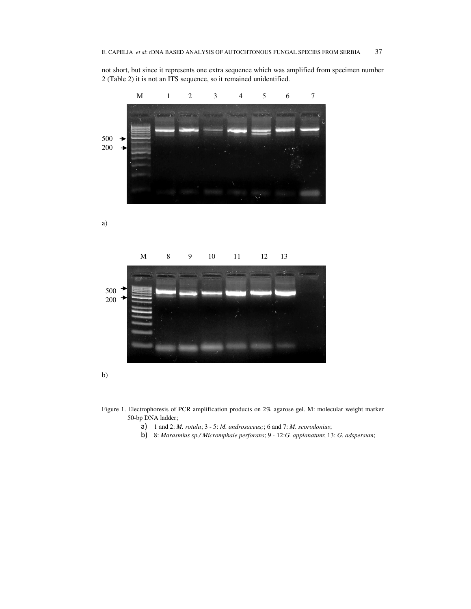not short, but since it represents one extra sequence which was amplified from specimen number 2 (Table 2) it is not an ITS sequence, so it remained unidentified.



a)





Figure 1. Еlectrophoresis of PCR amplification products on 2% agarose gel. M: molecular weight marker 50-bp DNA ladder;

- a) 1 and 2: *M. rotula*; 3 5: *M. androsaceus;*; 6 and 7: *M. scorodonius*;
- b) 8: *Marasmius sp./ Micromphale perforans*; 9 12:*G. applanatum*; 13: *G. adspersum*;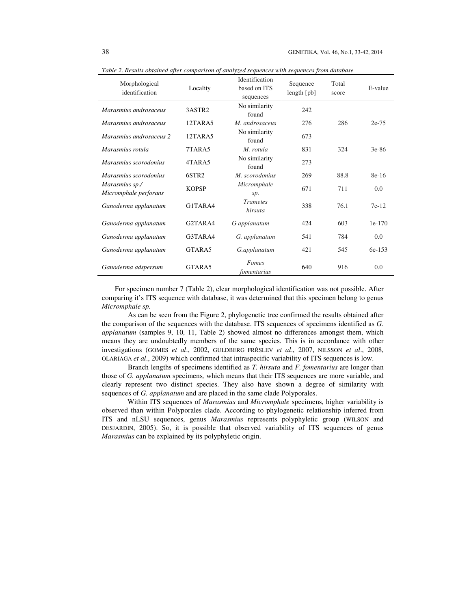| Table 2. Results obtained after comparison of analyzed sequences with sequences from database |                   |                                             |                         |                |          |
|-----------------------------------------------------------------------------------------------|-------------------|---------------------------------------------|-------------------------|----------------|----------|
| Morphological<br>identification                                                               | Locality          | Identification<br>based on ITS<br>sequences | Sequence<br>length [pb] | Total<br>score | E-value  |
| Marasmius androsaceus                                                                         | 3ASTR2            | No similarity<br>found                      | 242                     |                |          |
| Marasmius androsaceus                                                                         | 12TARA5           | M. androsaceus                              | 276                     | 286            | $2e-75$  |
| Marasmius androsaceus 2                                                                       | 12TARA5           | No similarity<br>found                      | 673                     |                |          |
| Marasmius rotula                                                                              | 7TARA5            | M. rotula                                   | 831                     | 324            | $3e-86$  |
| Marasmius scorodonius                                                                         | 4TARA5            | No similarity<br>found                      | 273                     |                |          |
| Marasmius scorodonius                                                                         | 6STR <sub>2</sub> | M. scorodonius                              | 269                     | 88.8           | 8e-16    |
| Marasmius sp./<br>Micromphale perforans                                                       | <b>KOPSP</b>      | Micromphale<br>sp.                          | 671                     | 711            | 0.0      |
| Ganoderma applanatum                                                                          | G1TARA4           | <b>Trametes</b><br>hirsuta                  | 338                     | 76.1           | $7e-12$  |
| Ganoderma applanatum                                                                          | G2TARA4           | G applanatum                                | 424                     | 603            | $1e-170$ |
| Ganoderma applanatum                                                                          | G3TARA4           | G. applanatum                               | 541                     | 784            | 0.0      |
| Ganoderma applanatum                                                                          | GTARA5            | G.applanatum                                | 421                     | 545            | 6e-153   |
| Ganoderma adspersum                                                                           | GTARA5            | Fomes<br>fomentarius                        | 640                     | 916            | 0.0      |

*Table 2. Results obtained after comparison of analyzed sequences with sequences from database* 

For specimen number 7 (Table 2), clear morphological identification was not possible. After comparing it's ITS sequence with database, it was determined that this specimen belong to genus *Micromphale sp.*

 As can be seen from the Figure 2, phylogenetic tree confirmed the results obtained after the comparison of the sequences with the database. ITS sequences of specimens identified as *G. applanatum* (samples 9, 10, 11, Table 2) showed almost no differences amongst them, which means they are undoubtedly members of the same species. This is in accordance with other investigations (GOMES *et al*., 2002, GULDBERG FRŘSLEV *et al*., 2007, NILSSON *et al*., 2008, OLARIAGA *et al*., 2009) which confirmed that intraspecific variability of ITS sequences is low.

 Branch lengths of specimens identified as *T. hirsuta* and *F. fomentarius* are longer than those of *G. applanatum* specimens*,* which means that their ITS sequences are more variable, and clearly represent two distinct species. They also have shown a degree of similarity with sequences of *G. applanatum* and are placed in the same clade Polyporales.

Within ITS sequences of *Marasmius* and *Micromphale* specimens, higher variability is observed than within Polyporales clade. According to phylogenetic relationship inferred from ITS and nLSU sequences, genus *Marasmius* represents polyphyletic group (WILSON and DESJARDIN, 2005). So, it is possible that observed variability of ITS sequences of genus *Marasmius* can be explained by its polyphyletic origin.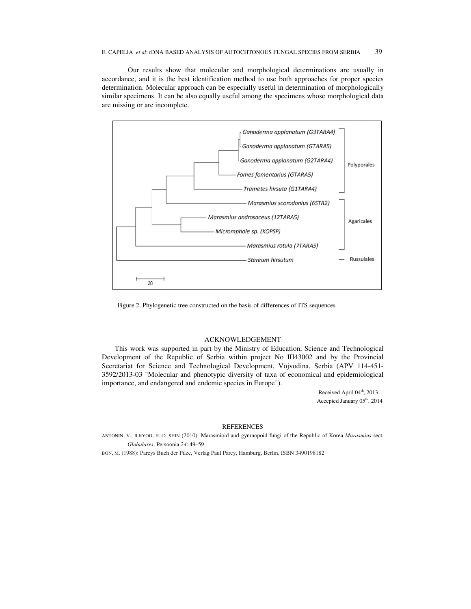Our results show that molecular and morphological determinations are usually in accordance, and it is the best identification method to use both approaches for proper species determination. Molecular approach can be especially useful in determination of morphologically similar specimens. It can be also equally useful among the specimens whose morphological data are missing or are incomplete.



Figure 2. Phylogenetic tree constructed on the basis of differences of ITS sequences

## ACKNOWLEDGEMENT

This work was supported in part by the Ministry of Education, Science and Technological Development of the Republic of Serbia within project No III43002 and by the Provincial Secretariat for Science and Technological Development, Vojvodina, Serbia (APV 114-451- 3592/2013-03 "Molecular and phenotypic diversity of taxa of economical and epidemiological importance, and endangered and endemic species in Europe").

> Received April 04<sup>th</sup>, 2013 Accepted January 05<sup>th</sup>, 2014

### **REFERENCES**

ANTONIN, V., R.RYOO, H.-D. SHIN (2010): Marasmioid and gymnopoid fungi of the Republic of Korea *Marasmius* sect. *Globulares*. Persoonia *24*: 49–59

BON, M. (1988): Pareys Buch der Pilze, Verlag Paul Parey, Hamburg, Berlin, ISBN 3490198182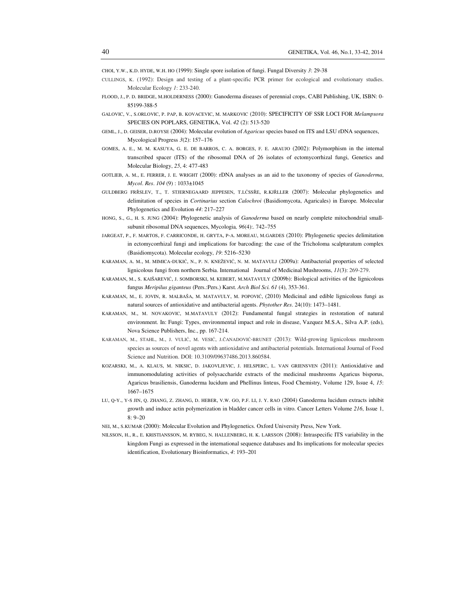CHOI, Y.W., K.D. HYDE, W.H. HO (1999): Single spore isolation of fungi. Fungal Diversity *3*: 29-38

- CULLINGS, K. (1992): Design and testing of a plant-specific PCR primer for ecological and evolutionary studies. Molecular Ecology *1*: 233-240.
- FLOOD, J., P. D. BRIDGE, M.HOLDERNESS (2000): Ganoderma diseases of perennial crops, CABI Publishing, UK, ISBN: 0- 85199-388-5
- GALOVIC, V., S.ORLOVIC, P. PAP, B. KOVACEVIC, M. MARKOVIC (2010): SPECIFICITY OF SSR LOCI FOR *Melampsora*  SPECIES ON POPLARS, GENETIKA, Vol. *42* (2): 513-520
- GEML, J., D. GEISER, D.ROYSE (2004): Molecular evolution of *Agaricus* species based on ITS and LSU rDNA sequences, Mycological Progress *3*(2): 157–176
- GOMES, A. E., M. M. KASUYA, G. E. DE BARROS, C. A. BORGES, F. E. ARAUJO (2002): Polymorphism in the internal transcribed spacer (ITS) of the ribosomal DNA of 26 isolates of ectomycorrhizal fungi, Genetics and Molecular Biology, *25*, 4: 477-483
- GOTLIEB, A. M., E. FERRER, J. E. WRIGHT (2000): rDNA analyses as an aid to the taxonomy of species of *Ganoderma*, *Mycol*. *Res*. *104* (9) : 1033±1045
- GULDBERG FRŘSLEV, T., T. STJERNEGAARD JEPPESEN, T.LĆSSŘE, R.KJŘLLER (2007): Molecular phylogenetics and delimitation of species in *Cortinarius* section *Calochroi* (Basidiomycota, Agaricales) in Europe*.* Molecular Phylogenetics and Evolution *44*: 217–227
- HONG, S., G., H. S. JUNG (2004): Phylogenetic analysis of *Ganoderma* based on nearly complete mitochondrial smallsubunit ribosomal DNA sequences, Mycologia*, 96*(4):. 742–755
- JARGEAT, P., F. MARTOS, F. CARRICONDE, H. GRYTA, P-A. MOREAU, M.GARDES (2010): Phylogenetic species delimitation in ectomycorrhizal fungi and implications for barcoding: the case of the Tricholoma scalpturatum complex (Basidiomycota). Molecular ecology, *19*: 5216–5230
- KARAMAN, A. M., M. MIMICA-DUKIĆ, N., P. N. KNEŽEVIĆ, N. M. MATAVULJ (2009a): Antibacterial properties of selected lignicolous fungi from northern Serbia. International Journal of Medicinal Mushrooms, *11*(3): 269-279.
- KARAMAN, M., S. KAIŠAREVIĆ, J. SOMBORSKI, M. KEBERT, M.MATAVULY (2009b): Biological activities of the lignicolous fungus *Meripilus giganteus* (Pers.:Pers.) Karst. *Arch Biol Sci. 61* (4), 353-361.
- KARAMAN, M., E. JOVIN, R. MALBAŠA, M. MATAVULY, M. POPOVIĆ, (2010) Medicinal and edible lignicolous fungi as natural sources of antioxidative and antibacterial agents. *Phytother Res*. 24(10): 1473–1481.
- KARAMAN, M., M. NOVAKOVIC, M.MATAVULY (2012): Fundamental fungal strategies in restoration of natural environment. In: Fungi: Types, environmental impact and role in disease, Vazquez M.S.A., Silva A.P. (eds), Nova Science Publishers, Inc., pp. 167-214.
- KARAMAN, M., STAHL, M., J. VULIĆ, M. VESIĆ, J.ČANADOVIĆ-BRUNET (2013): Wild-growing lignicolous mushroom species as sources of novel agents with antioxidative and antibacterial potentials. International Journal of Food Science and Nutrition. DOI: 10.3109/09637486.2013.860584.
- KOZARSKI, M., A. KLAUS, M. NIKSIC, D. JAKOVLJEVIC, J. HELSPERC, L. VAN GRIENSVEN (2011): Antioxidative and immunomodulating activities of polysaccharide extracts of the medicinal mushrooms Agaricus bisporus, Agaricus brasiliensis, Ganoderma lucidum and Phellinus linteus, Food Chemistry, Volume 129, Issue 4, *15*: 1667–1675
- LU, Q-Y., Y-S JIN, Q. ZHANG, Z. ZHANG, D. HEBER, V.W. GO, P.F. LI, J. Y. RAO (2004) Ganoderma lucidum extracts inhibit growth and induce actin polymerization in bladder cancer cells in vitro. Cancer Letters Volume *216*, Issue 1,  $8: 9 - 20$
- NEI, M., S.KUMAR (2000): Molecular Evolution and Phylogenetics. Oxford University Press, New York.
- NILSSON, H., R., E. KRISTIANSSON, M. RYBEG, N. HALLENBERG, H. K. LARSSON (2008): Intraspecific ITS variability in the kingdom Fungi as expressed in the international sequence databases and Its implications for molecular species identification, Evolutionary Bioinformatics, *4*: 193–201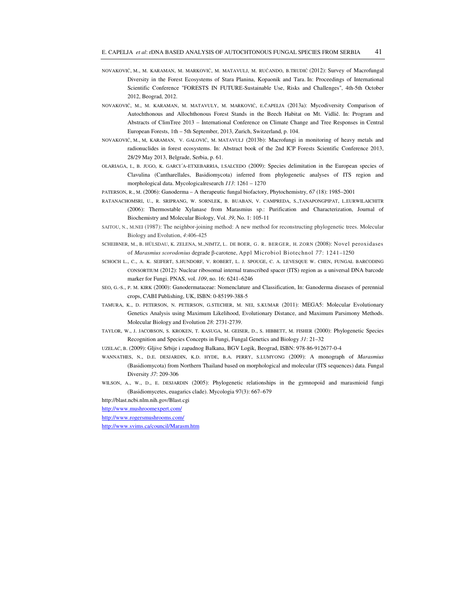- NOVAKOVIĆ, M., M. KARAMAN, M. MARKOVIĆ, M. MATAVULJ, M. RUĆANDO, B.TRUDIĆ (2012): Survey of Macrofungal Diversity in the Forest Ecosystems of Stara Planina, Kopaonik and Tara. In: Proceedings of International Scientific Conference "FORESTS IN FUTURE-Sustainable Use, Risks and Challenges", 4th-5th October 2012, Beograd, 2012.
- NOVAKOVIĆ, M., M. KARAMAN, M. MATAVULY, M. MARKOVIĆ, E.ČAPELJA (2013a): Mycodiversity Comparison of Autochthonous and Allochthonous Forest Stands in the Beech Habitat on Mt. Vidlič. In: Program and Abstracts of ClimTree 2013 – International Conference on Climate Change and Tree Responses in Central European Forests, 1th – 5th September, 2013, Zurich, Switzerland, p. 104.
- NOVAKOVIĆ, M., M, KARAMAN, V. GALOVIĆ, M. MATAVULJ (2013b): Macrofungi in monitoring of heavy metals and radionuclides in forest ecosystems. In: Abstract book of the 2nd ICP Forests Scientific Conference 2013, 28/29 May 2013, Belgrade, Serbia, p. 61.
- OLARIAGA, I., B. JUGO, K. GARCI´A-ETXEBARRIA, I.SALCEDO (2009): Species delimitation in the European species of Clavulina (Cantharellales, Basidiomycota) inferred from phylogenetic analyses of ITS region and morphological data. Mycologicalresearch *113*: 1261 – 1270
- PATERSON, R., M. (2006): Ganoderma A therapeutic fungal biofactory, Phytochemistry, *67* (18): 1985–2001
- RATANACHOMSRI, U., R. SRIPRANG, W. SORNLEK, B. BUABAN, V. CAMPREDA, S.,TANAPONGPIPAT, L.EURWILAICHITR (2006): Thermostable Xylanase from Marasmius sp.: Purification and Characterization, Journal of Biochemistry and Molecular Biology, Vol. *39*, No. 1: 105-11
- SAITOU, N., M.NEI (1987): The neighbor-joining method: A new method for reconstructing phylogenetic trees. Molecular Biology and Evolution, *4*:406-425
- SCHEIBNER, M., B. HÜLSDAU, K. ZELENA, M.,NIMTZ, L. DE BOER, G. R. BERGER, H. ZORN (2008): Novel peroxidases of *Marasmius scorodonius* degrade β-carotene, Appl Microbiol Biotechnol *77*: 1241–1250
- SCHOCH L., C., A. K. SEIFERT, S.HUNDORF, V. ROBERT, L. J. SPOUGE, C. A. LEVESQUE W. CHEN, FUNGAL BARCODING CONSORTIUM (2012): Nuclear ribosomal internal transcribed spacer (ITS) region as a universal DNA barcode marker for Fungi. PNAS, vol. *109*, no. 16: 6241–6246
- SEO, G.-S., P. M. KIRK (2000): Ganodermataceae: Nomenclature and Classification, In: Ganoderma diseases of perennial crops, CABI Publishing, UK, ISBN: 0-85199-388-5
- TAMURA, K., D. PETERSON, N. PETERSON, G.STECHER, M. NEI, S.KUMAR (2011): MEGA5: Molecular Evolutionary Genetics Analysis using Maximum Likelihood, Evolutionary Distance, and Maximum Parsimony Methods. Molecular Biology and Evolution *28*: 2731-2739.
- TAYLOR, W., J. JACOBSON, S. KROKEN, T. KASUGA, M. GEISER, D., S. HIBBETT, M. FISHER (2000): Phylogenetic Species Recognition and Species Concepts in Fungi, Fungal Genetics and Biology *31*: 21–32
- UZELAC, B. (2009): Gljive Srbije i zapadnog Balkana, BGV Logik, Beograd, ISBN: 978-86-912677-0-4
- WANNATHES, N., D.E. DESJARDIN, K.D. HYDE, B.A. PERRY, S.LUMYONG (2009): A monograph of *Marasmius*  (Basidiomycota) from Northern Thailand based on morphological and molecular (ITS sequences) data. Fungal Diversity *37*: 209-306
- WILSON, A., W., D., E. DESJARDIN (2005): Phylogenetic relationships in the gymnopoid and marasmioid fungi (Basidiomycetes, euagarics clade). Mycologia 97(3): 667–679

http://blast.ncbi.nlm.nih.gov/Blast.cgi

http://www.mushroomexpert.com/

http://www.rogersmushrooms.com/

http://www.svims.ca/council/Marasm.htm